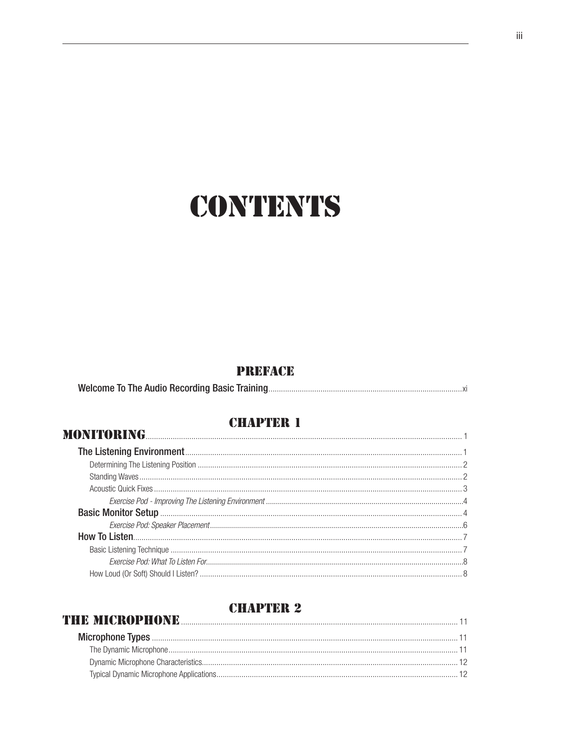### **CONTENTS**

### **PREFACE**

|--|

### **CHAPTER 1**

| MONITORING <b>MONITORING MONITORING</b> |  |
|-----------------------------------------|--|
|                                         |  |
|                                         |  |
|                                         |  |
|                                         |  |
|                                         |  |
|                                         |  |
|                                         |  |
|                                         |  |
|                                         |  |
|                                         |  |
|                                         |  |

### **THE MICROPHONE**

| <b>HE MICROPHONE</b> 11 |  |
|-------------------------|--|
|                         |  |
|                         |  |
|                         |  |
|                         |  |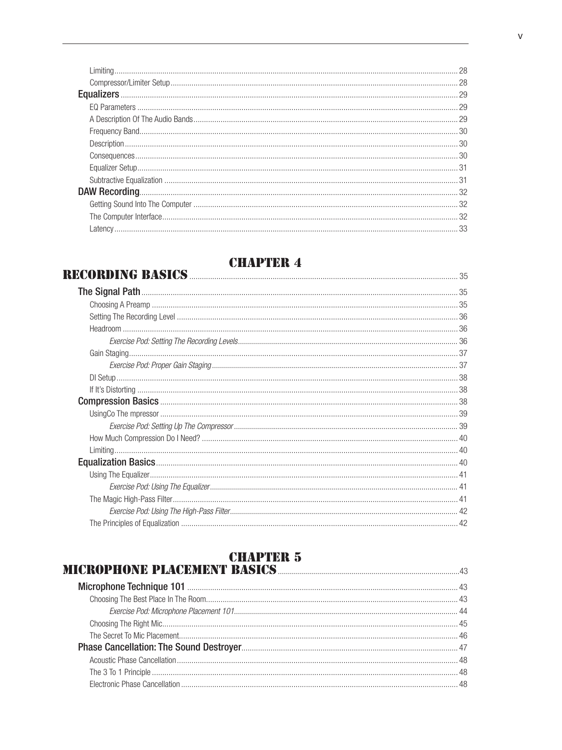### **CHAPTER 4**<br>RECORDING BASICS 25

## **CHAPTER 5**<br>MICROPHONE PLACEMENT BASICS **MICROPHONE** PLACEMENT BASICS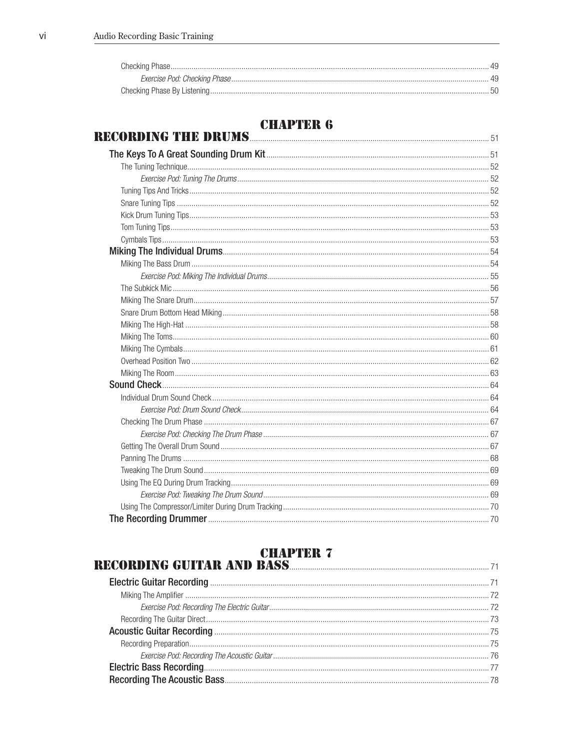### **CHAPTER 6**

| UNAI INN O |  |
|------------|--|
|            |  |
|            |  |
|            |  |
|            |  |
|            |  |
|            |  |
|            |  |
|            |  |
|            |  |
|            |  |
|            |  |
|            |  |
|            |  |
|            |  |
|            |  |
|            |  |
|            |  |
|            |  |
|            |  |
|            |  |
|            |  |
|            |  |
|            |  |
|            |  |
|            |  |
|            |  |
|            |  |
|            |  |
|            |  |
|            |  |
|            |  |

###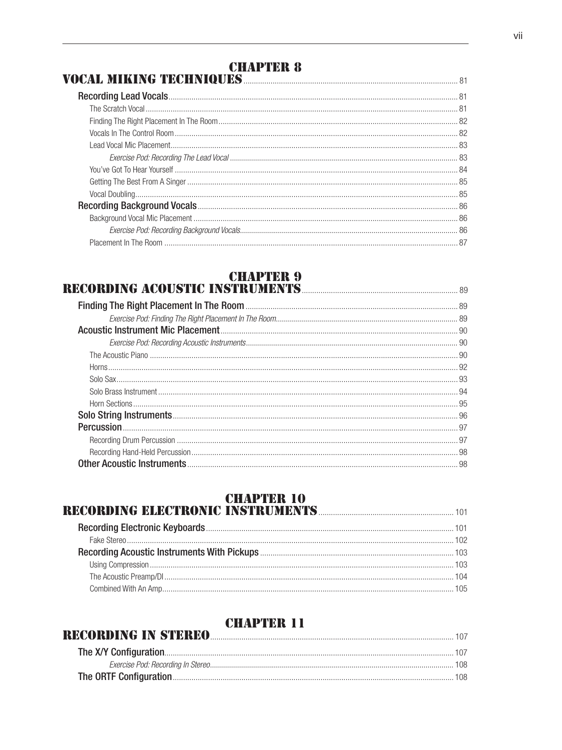### **CHAPTER 8**

### 

### **CHAPTER 9**

### **RECORDING ACOUSTIC INSTRUMENTS MANUSCRIPTION AND RECORDING ACOUSTIC INSTRUMENTS**

### **CHAPTER 10<br>RECORDING ELECTRONIC INSTRUMENTS**

| RECORDING IN STEREO |
|---------------------|
|                     |
|                     |
|                     |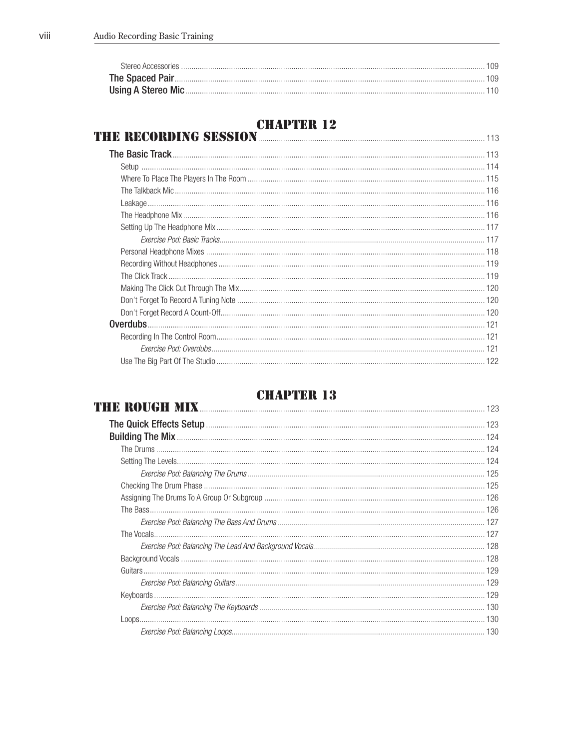# **CHAPTER 12**<br>THE RECORDING SESSION

| <b>IE RECORDING SESSION AND DESCRIPTION OF RECORDING SESSION AND DESCRIPTION OF RECORDING SESSION</b> |  |
|-------------------------------------------------------------------------------------------------------|--|
|                                                                                                       |  |
|                                                                                                       |  |
|                                                                                                       |  |
|                                                                                                       |  |
|                                                                                                       |  |
|                                                                                                       |  |
|                                                                                                       |  |
|                                                                                                       |  |
|                                                                                                       |  |
|                                                                                                       |  |
|                                                                                                       |  |
|                                                                                                       |  |
|                                                                                                       |  |
|                                                                                                       |  |
|                                                                                                       |  |
|                                                                                                       |  |
|                                                                                                       |  |
|                                                                                                       |  |

| VIIAT IIIU TO<br><b>THE ROUGH MIX</b> 123 |  |
|-------------------------------------------|--|
|                                           |  |
|                                           |  |
|                                           |  |
|                                           |  |
|                                           |  |
|                                           |  |
|                                           |  |
|                                           |  |
|                                           |  |
|                                           |  |
|                                           |  |
|                                           |  |
|                                           |  |
|                                           |  |
|                                           |  |
|                                           |  |
|                                           |  |
|                                           |  |
|                                           |  |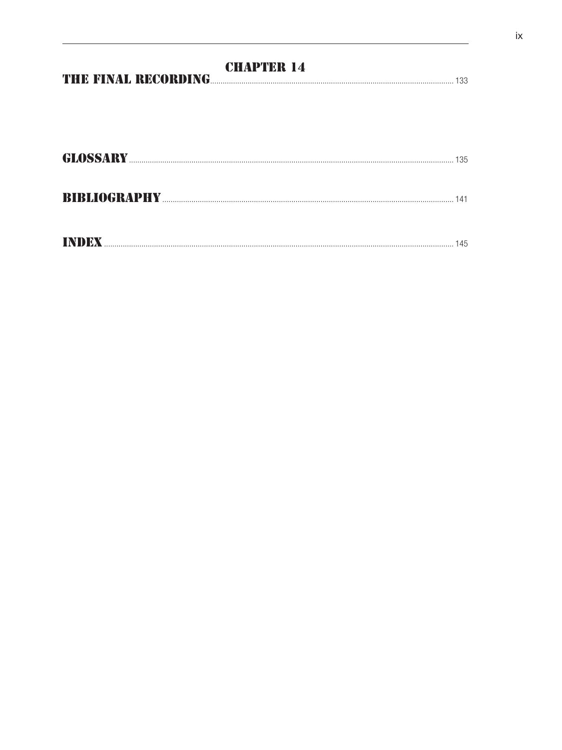|       | <b>CHAPTER 14</b><br>THE FINAL RECORDING<br>133 |
|-------|-------------------------------------------------|
|       |                                                 |
|       |                                                 |
|       | 135                                             |
|       |                                                 |
| INDEX | 145                                             |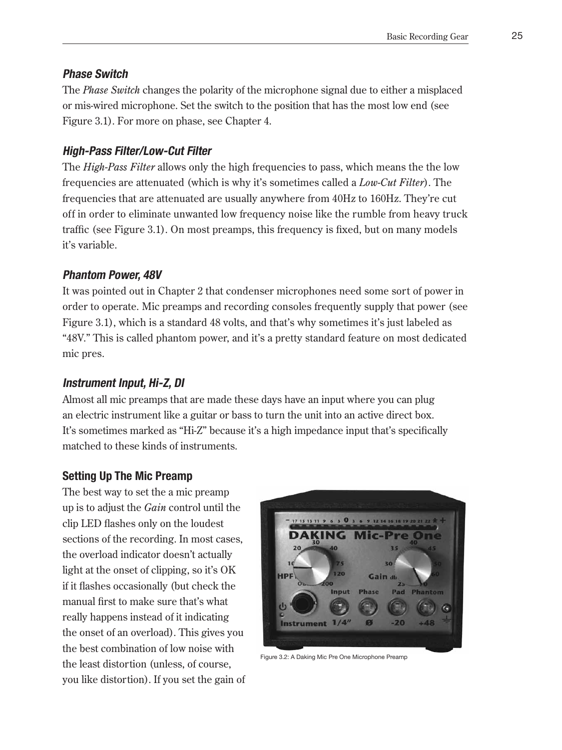#### **Phase Switch**

The *Phase Switch* changes the polarity of the microphone signal due to either a misplaced or mis-wired microphone. Set the switch to the position that has the most low end (see Figure 3.1). For more on phase, see Chapter 4.

### **High-Pass Filter/Low-Cut Filter**

The *High-Pass Filter* allows only the high frequencies to pass, which means the the low frequencies are attenuated (which is why it's sometimes called a *Low-Cut Filter*). The frequencies that are attenuated are usually anywhere from 40Hz to 160Hz. They're cut off in order to eliminate unwanted low frequency noise like the rumble from heavy truck traffic (see Figure 3.1). On most preamps, this frequency is fixed, but on many models it's variable.

### **Phantom Power, 48V**

It was pointed out in Chapter 2 that condenser microphones need some sort of power in order to operate. Mic preamps and recording consoles frequently supply that power (see Figure 3.1), which is a standard 48 volts, and that's why sometimes it's just labeled as "48V." This is called phantom power, and it's a pretty standard feature on most dedicated mic pres.

#### **Instrument Input, Hi-Z, DI**

Almost all mic preamps that are made these days have an input where you can plug an electric instrument like a guitar or bass to turn the unit into an active direct box. It's sometimes marked as "Hi-Z" because it's a high impedance input that's specifically matched to these kinds of instruments.

### **Setting Up The Mic Preamp**

The best way to set the a mic preamp up is to adjust the *Gain* control until the clip LED flashes only on the loudest sections of the recording. In most cases, the overload indicator doesn't actually light at the onset of clipping, so it's OK if it flashes occasionally (but check the manual first to make sure that's what really happens instead of it indicating the onset of an overload). This gives you the best combination of low noise with the least distortion (unless, of course, you like distortion). If you set the gain of



Figure 3.2: A Daking Mic Pre One Microphone Preamp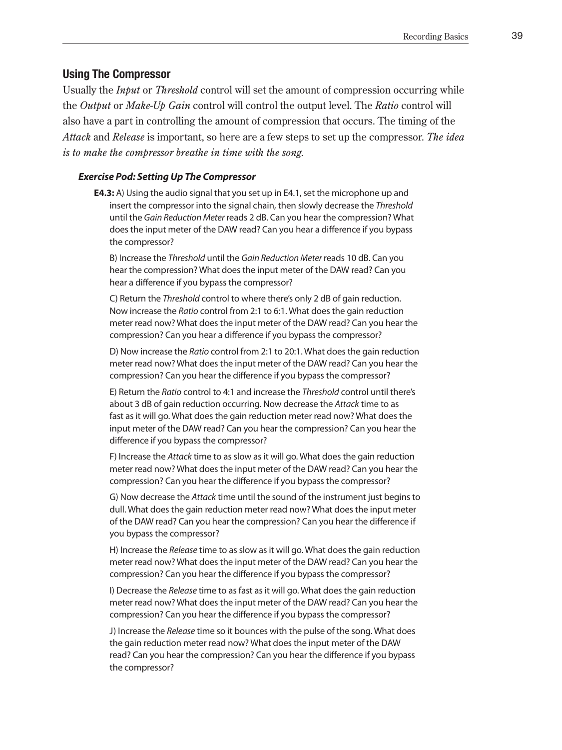#### **Using The Compressor**

Usually the *Input* or *Threshold* control will set the amount of compression occurring while the *Output* or *Make-Up Gain* control will control the output level. The *Ratio* control will also have a part in controlling the amount of compression that occurs. The timing of the *Attack* and *Release* is important, so here are a few steps to set up the compressor. *The idea is to make the compressor breathe in time with the song.*

#### *Exercise Pod: Setting Up The Compressor*

**E4.3:** A) Using the audio signal that you set up in E4.1, set the microphone up and insert the compressor into the signal chain, then slowly decrease the *Threshold* until the *Gain Reduction Meter* reads 2 dB. Can you hear the compression? What does the input meter of the DAW read? Can you hear a difference if you bypass the compressor?

B) Increase the *Threshold* until the *Gain Reduction Meter* reads 10 dB. Can you hear the compression? What does the input meter of the DAW read? Can you hear a difference if you bypass the compressor?

C) Return the *Threshold* control to where there's only 2 dB of gain reduction. Now increase the *Ratio* control from 2:1 to 6:1. What does the gain reduction meter read now? What does the input meter of the DAW read? Can you hear the compression? Can you hear a difference if you bypass the compressor?

D) Now increase the *Ratio* control from 2:1 to 20:1. What does the gain reduction meter read now? What does the input meter of the DAW read? Can you hear the compression? Can you hear the difference if you bypass the compressor?

E) Return the *Ratio* control to 4:1 and increase the *Threshold* control until there's about 3 dB of gain reduction occurring. Now decrease the *Attack* time to as fast as it will go. What does the gain reduction meter read now? What does the input meter of the DAW read? Can you hear the compression? Can you hear the difference if you bypass the compressor?

F) Increase the *Attack* time to as slow as it will go. What does the gain reduction meter read now? What does the input meter of the DAW read? Can you hear the compression? Can you hear the difference if you bypass the compressor?

G) Now decrease the *Attack* time until the sound of the instrument just begins to dull. What does the gain reduction meter read now? What does the input meter of the DAW read? Can you hear the compression? Can you hear the difference if you bypass the compressor?

H) Increase the *Release* time to as slow as it will go. What does the gain reduction meter read now? What does the input meter of the DAW read? Can you hear the compression? Can you hear the difference if you bypass the compressor?

I) Decrease the *Release* time to as fast as it will go. What does the gain reduction meter read now? What does the input meter of the DAW read? Can you hear the compression? Can you hear the difference if you bypass the compressor?

J) Increase the *Release* time so it bounces with the pulse of the song. What does the gain reduction meter read now? What does the input meter of the DAW read? Can you hear the compression? Can you hear the difference if you bypass the compressor?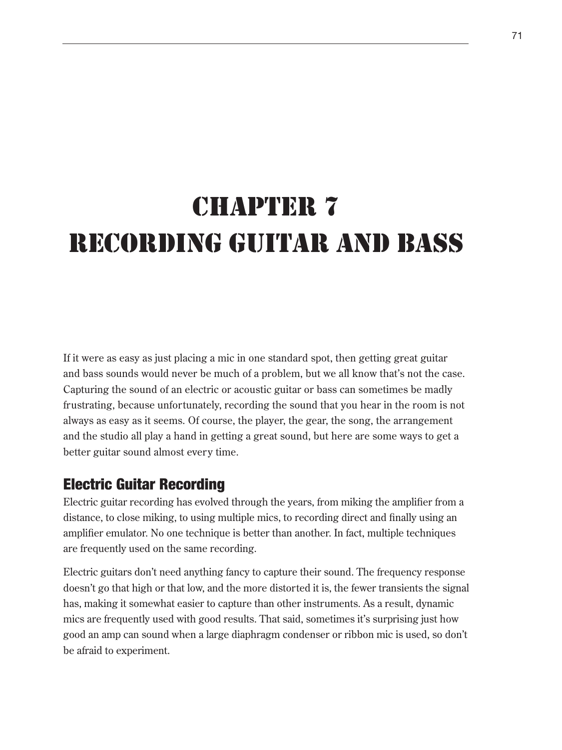## CHAPTER 7 RECORDING GUITAR AND BASS

If it were as easy as just placing a mic in one standard spot, then getting great guitar and bass sounds would never be much of a problem, but we all know that's not the case. Capturing the sound of an electric or acoustic guitar or bass can sometimes be madly frustrating, because unfortunately, recording the sound that you hear in the room is not always as easy as it seems. Of course, the player, the gear, the song, the arrangement and the studio all play a hand in getting a great sound, but here are some ways to get a better guitar sound almost every time.

### Electric Guitar Recording

Electric guitar recording has evolved through the years, from miking the amplifier from a distance, to close miking, to using multiple mics, to recording direct and finally using an amplifier emulator. No one technique is better than another. In fact, multiple techniques are frequently used on the same recording.

Electric guitars don't need anything fancy to capture their sound. The frequency response doesn't go that high or that low, and the more distorted it is, the fewer transients the signal has, making it somewhat easier to capture than other instruments. As a result, dynamic mics are frequently used with good results. That said, sometimes it's surprising just how good an amp can sound when a large diaphragm condenser or ribbon mic is used, so don't be afraid to experiment.